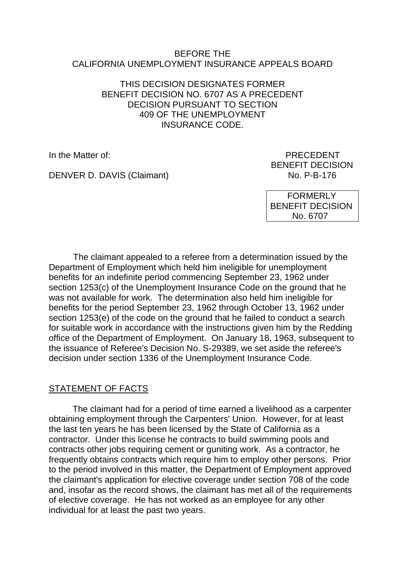#### BEFORE THE CALIFORNIA UNEMPLOYMENT INSURANCE APPEALS BOARD

#### THIS DECISION DESIGNATES FORMER BENEFIT DECISION NO. 6707 AS A PRECEDENT DECISION PURSUANT TO SECTION 409 OF THE UNEMPLOYMENT INSURANCE CODE.

In the Matter of: PRECEDENT

DENVER D. DAVIS (Claimant) No. P-B-176

BENEFIT DECISION

 FORMERLY BENEFIT DECISION No. 6707

The claimant appealed to a referee from a determination issued by the Department of Employment which held him ineligible for unemployment benefits for an indefinite period commencing September 23, 1962 under section 1253(c) of the Unemployment Insurance Code on the ground that he was not available for work. The determination also held him ineligible for benefits for the period September 23, 1962 through October 13, 1962 under section 1253(e) of the code on the ground that he failed to conduct a search for suitable work in accordance with the instructions given him by the Redding office of the Department of Employment. On January 18, 1963, subsequent to the issuance of Referee's Decision No. S-29389, we set aside the referee's decision under section 1336 of the Unemployment Insurance Code.

# STATEMENT OF FACTS

The claimant had for a period of time earned a livelihood as a carpenter obtaining employment through the Carpenters' Union. However, for at least the last ten years he has been licensed by the State of California as a contractor. Under this license he contracts to build swimming pools and contracts other jobs requiring cement or guniting work. As a contractor, he frequently obtains contracts which require him to employ other persons. Prior to the period involved in this matter, the Department of Employment approved the claimant's application for elective coverage under section 708 of the code and, insofar as the record shows, the claimant has met all of the requirements of elective coverage. He has not worked as an employee for any other individual for at least the past two years.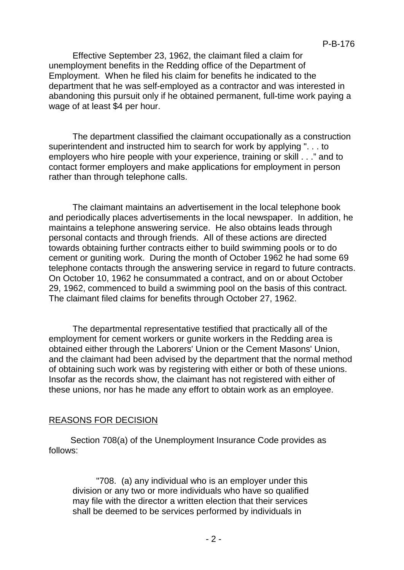Effective September 23, 1962, the claimant filed a claim for unemployment benefits in the Redding office of the Department of Employment. When he filed his claim for benefits he indicated to the department that he was self-employed as a contractor and was interested in abandoning this pursuit only if he obtained permanent, full-time work paying a wage of at least \$4 per hour.

The department classified the claimant occupationally as a construction superintendent and instructed him to search for work by applying ". . . to employers who hire people with your experience, training or skill . . ." and to contact former employers and make applications for employment in person rather than through telephone calls.

The claimant maintains an advertisement in the local telephone book and periodically places advertisements in the local newspaper. In addition, he maintains a telephone answering service. He also obtains leads through personal contacts and through friends. All of these actions are directed towards obtaining further contracts either to build swimming pools or to do cement or guniting work. During the month of October 1962 he had some 69 telephone contacts through the answering service in regard to future contracts. On October 10, 1962 he consummated a contract, and on or about October 29, 1962, commenced to build a swimming pool on the basis of this contract. The claimant filed claims for benefits through October 27, 1962.

The departmental representative testified that practically all of the employment for cement workers or gunite workers in the Redding area is obtained either through the Laborers' Union or the Cement Masons' Union, and the claimant had been advised by the department that the normal method of obtaining such work was by registering with either or both of these unions. Insofar as the records show, the claimant has not registered with either of these unions, nor has he made any effort to obtain work as an employee.

## REASONS FOR DECISION

Section 708(a) of the Unemployment Insurance Code provides as follows:

"708. (a) any individual who is an employer under this division or any two or more individuals who have so qualified may file with the director a written election that their services shall be deemed to be services performed by individuals in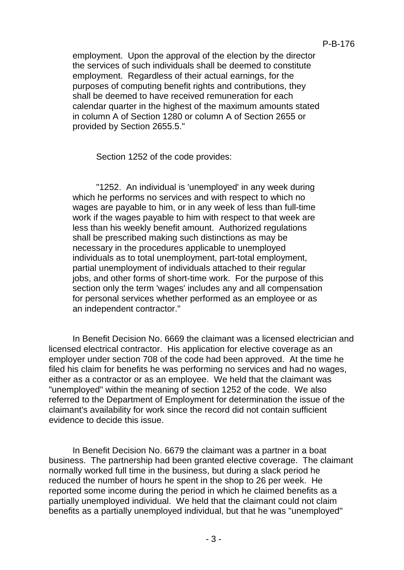employment. Upon the approval of the election by the director the services of such individuals shall be deemed to constitute employment. Regardless of their actual earnings, for the purposes of computing benefit rights and contributions, they shall be deemed to have received remuneration for each calendar quarter in the highest of the maximum amounts stated in column A of Section 1280 or column A of Section 2655 or provided by Section 2655.5."

Section 1252 of the code provides:

"1252. An individual is 'unemployed' in any week during which he performs no services and with respect to which no wages are payable to him, or in any week of less than full-time work if the wages payable to him with respect to that week are less than his weekly benefit amount. Authorized regulations shall be prescribed making such distinctions as may be necessary in the procedures applicable to unemployed individuals as to total unemployment, part-total employment, partial unemployment of individuals attached to their regular jobs, and other forms of short-time work. For the purpose of this section only the term 'wages' includes any and all compensation for personal services whether performed as an employee or as an independent contractor."

In Benefit Decision No. 6669 the claimant was a licensed electrician and licensed electrical contractor. His application for elective coverage as an employer under section 708 of the code had been approved. At the time he filed his claim for benefits he was performing no services and had no wages, either as a contractor or as an employee. We held that the claimant was "unemployed" within the meaning of section 1252 of the code. We also referred to the Department of Employment for determination the issue of the claimant's availability for work since the record did not contain sufficient evidence to decide this issue.

In Benefit Decision No. 6679 the claimant was a partner in a boat business. The partnership had been granted elective coverage. The claimant normally worked full time in the business, but during a slack period he reduced the number of hours he spent in the shop to 26 per week. He reported some income during the period in which he claimed benefits as a partially unemployed individual. We held that the claimant could not claim benefits as a partially unemployed individual, but that he was "unemployed"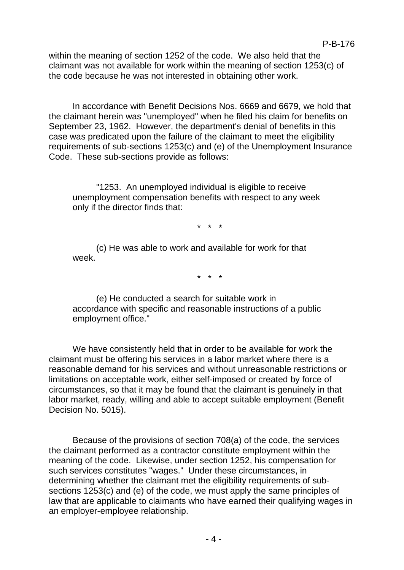within the meaning of section 1252 of the code. We also held that the claimant was not available for work within the meaning of section 1253(c) of the code because he was not interested in obtaining other work.

In accordance with Benefit Decisions Nos. 6669 and 6679, we hold that the claimant herein was "unemployed" when he filed his claim for benefits on September 23, 1962. However, the department's denial of benefits in this case was predicated upon the failure of the claimant to meet the eligibility requirements of sub-sections 1253(c) and (e) of the Unemployment Insurance Code. These sub-sections provide as follows:

"1253. An unemployed individual is eligible to receive unemployment compensation benefits with respect to any week only if the director finds that:

\* \* \*

(c) He was able to work and available for work for that week.

\* \* \*

(e) He conducted a search for suitable work in accordance with specific and reasonable instructions of a public employment office."

We have consistently held that in order to be available for work the claimant must be offering his services in a labor market where there is a reasonable demand for his services and without unreasonable restrictions or limitations on acceptable work, either self-imposed or created by force of circumstances, so that it may be found that the claimant is genuinely in that labor market, ready, willing and able to accept suitable employment (Benefit Decision No. 5015).

Because of the provisions of section 708(a) of the code, the services the claimant performed as a contractor constitute employment within the meaning of the code. Likewise, under section 1252, his compensation for such services constitutes "wages." Under these circumstances, in determining whether the claimant met the eligibility requirements of subsections 1253(c) and (e) of the code, we must apply the same principles of law that are applicable to claimants who have earned their qualifying wages in an employer-employee relationship.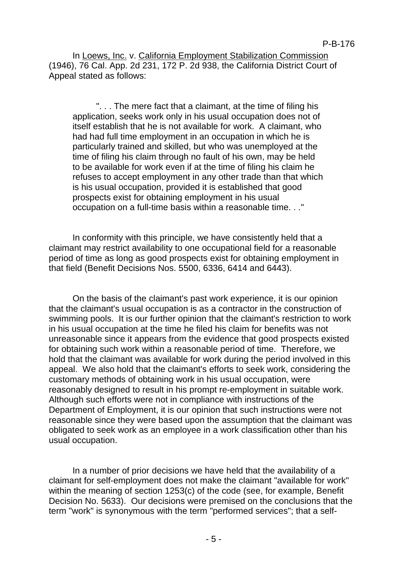In Loews, Inc. v. California Employment Stabilization Commission (1946), 76 Cal. App. 2d 231, 172 P. 2d 938, the California District Court of Appeal stated as follows:

". . . The mere fact that a claimant, at the time of filing his application, seeks work only in his usual occupation does not of itself establish that he is not available for work. A claimant, who had had full time employment in an occupation in which he is particularly trained and skilled, but who was unemployed at the time of filing his claim through no fault of his own, may be held to be available for work even if at the time of filing his claim he refuses to accept employment in any other trade than that which is his usual occupation, provided it is established that good prospects exist for obtaining employment in his usual occupation on a full-time basis within a reasonable time. . ."

In conformity with this principle, we have consistently held that a claimant may restrict availability to one occupational field for a reasonable period of time as long as good prospects exist for obtaining employment in that field (Benefit Decisions Nos. 5500, 6336, 6414 and 6443).

On the basis of the claimant's past work experience, it is our opinion that the claimant's usual occupation is as a contractor in the construction of swimming pools. It is our further opinion that the claimant's restriction to work in his usual occupation at the time he filed his claim for benefits was not unreasonable since it appears from the evidence that good prospects existed for obtaining such work within a reasonable period of time. Therefore, we hold that the claimant was available for work during the period involved in this appeal. We also hold that the claimant's efforts to seek work, considering the customary methods of obtaining work in his usual occupation, were reasonably designed to result in his prompt re-employment in suitable work. Although such efforts were not in compliance with instructions of the Department of Employment, it is our opinion that such instructions were not reasonable since they were based upon the assumption that the claimant was obligated to seek work as an employee in a work classification other than his usual occupation.

In a number of prior decisions we have held that the availability of a claimant for self-employment does not make the claimant "available for work" within the meaning of section 1253(c) of the code (see, for example, Benefit Decision No. 5633). Our decisions were premised on the conclusions that the term "work" is synonymous with the term "performed services"; that a self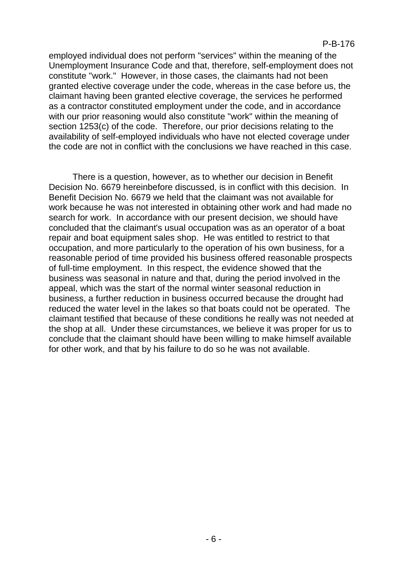employed individual does not perform "services" within the meaning of the Unemployment Insurance Code and that, therefore, self-employment does not constitute "work." However, in those cases, the claimants had not been granted elective coverage under the code, whereas in the case before us, the claimant having been granted elective coverage, the services he performed as a contractor constituted employment under the code, and in accordance with our prior reasoning would also constitute "work" within the meaning of section 1253(c) of the code. Therefore, our prior decisions relating to the availability of self-employed individuals who have not elected coverage under the code are not in conflict with the conclusions we have reached in this case.

There is a question, however, as to whether our decision in Benefit Decision No. 6679 hereinbefore discussed, is in conflict with this decision. In Benefit Decision No. 6679 we held that the claimant was not available for work because he was not interested in obtaining other work and had made no search for work. In accordance with our present decision, we should have concluded that the claimant's usual occupation was as an operator of a boat repair and boat equipment sales shop. He was entitled to restrict to that occupation, and more particularly to the operation of his own business, for a reasonable period of time provided his business offered reasonable prospects of full-time employment. In this respect, the evidence showed that the business was seasonal in nature and that, during the period involved in the appeal, which was the start of the normal winter seasonal reduction in business, a further reduction in business occurred because the drought had reduced the water level in the lakes so that boats could not be operated. The claimant testified that because of these conditions he really was not needed at the shop at all. Under these circumstances, we believe it was proper for us to conclude that the claimant should have been willing to make himself available for other work, and that by his failure to do so he was not available.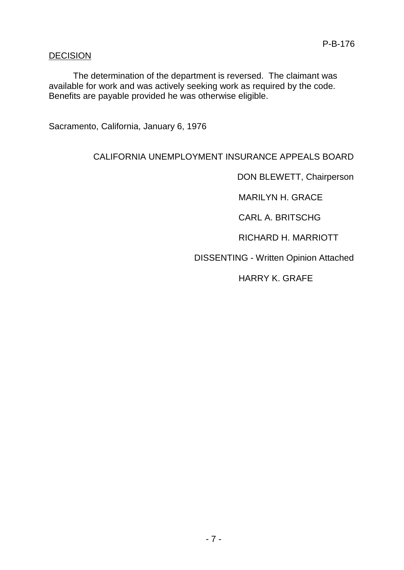### DECISION

The determination of the department is reversed. The claimant was available for work and was actively seeking work as required by the code. Benefits are payable provided he was otherwise eligible.

Sacramento, California, January 6, 1976

### CALIFORNIA UNEMPLOYMENT INSURANCE APPEALS BOARD

DON BLEWETT, Chairperson

MARILYN H. GRACE

CARL A. BRITSCHG

RICHARD H. MARRIOTT

DISSENTING - Written Opinion Attached

HARRY K. GRAFE